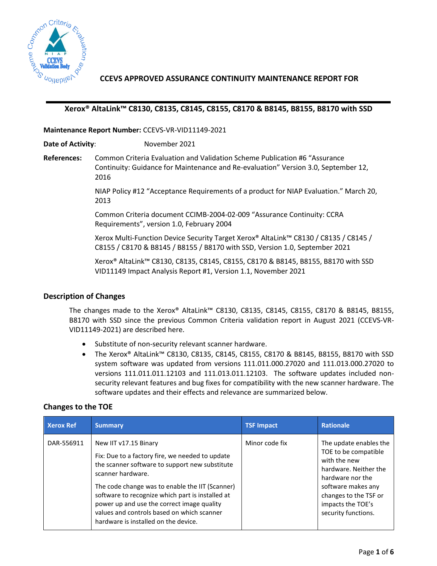

**CCEVS APPROVED ASSURANCE CONTINUITY MAINTENANCE REPORT FOR**

## **Xerox® AltaLink™ C8130, C8135, C8145, C8155, C8170 & B8145, B8155, B8170 with SSD**

**Maintenance Report Number:** CCEVS-VR-VID11149-2021

**Date of Activity**: November 2021

**References:** Common Criteria Evaluation and Validation Scheme Publication #6 "Assurance Continuity: Guidance for Maintenance and Re-evaluation" Version 3.0, September 12, 2016

> NIAP Policy #12 "Acceptance Requirements of a product for NIAP Evaluation." March 20, 2013

Common Criteria document CCIMB-2004-02-009 "Assurance Continuity: CCRA Requirements", version 1.0, February 2004

Xerox Multi-Function Device Security Target Xerox® AltaLink™ C8130 / C8135 / C8145 / C8155 / C8170 & B8145 / B8155 / B8170 with SSD, Version 1.0, September 2021

Xerox® AltaLink™ C8130, C8135, C8145, C8155, C8170 & B8145, B8155, B8170 with SSD VID11149 Impact Analysis Report #1, Version 1.1, November 2021

## **Description of Changes**

The changes made to the Xerox® AltaLink™ C8130, C8135, C8145, C8155, C8170 & B8145, B8155, B8170 with SSD since the previous Common Criteria validation report in August 2021 (CCEVS-VR-VID11149-2021) are described here.

- Substitute of non-security relevant scanner hardware.
- The Xerox® AltaLink™ C8130, C8135, C8145, C8155, C8170 & B8145, B8155, B8170 with SSD system software was updated from versions 111.011.000.27020 and 111.013.000.27020 to versions 111.011.011.12103 and 111.013.011.12103. The software updates included nonsecurity relevant features and bug fixes for compatibility with the new scanner hardware. The software updates and their effects and relevance are summarized below.

# **Changes to the TOE**

| <b>Xerox Ref</b> | <b>Summary</b>                                                                                                                                                                                                                                                                                                                                                                             | <b>TSF Impact</b> | <b>Rationale</b>                                                                                                                                                                                       |
|------------------|--------------------------------------------------------------------------------------------------------------------------------------------------------------------------------------------------------------------------------------------------------------------------------------------------------------------------------------------------------------------------------------------|-------------------|--------------------------------------------------------------------------------------------------------------------------------------------------------------------------------------------------------|
| DAR-556911       | New IIT v17.15 Binary<br>Fix: Due to a factory fire, we needed to update<br>the scanner software to support new substitute<br>scanner hardware.<br>The code change was to enable the IIT (Scanner)<br>software to recognize which part is installed at<br>power up and use the correct image quality<br>values and controls based on which scanner<br>hardware is installed on the device. | Minor code fix    | The update enables the<br>TOE to be compatible<br>with the new<br>hardware. Neither the<br>hardware nor the<br>software makes any<br>changes to the TSF or<br>impacts the TOE's<br>security functions. |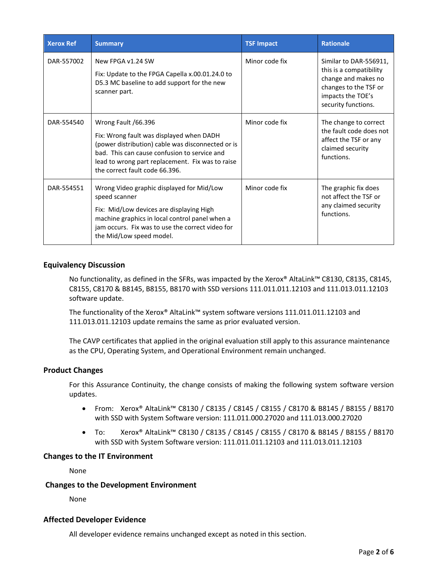| <b>Xerox Ref</b> | <b>Summary</b>                                                                                                                                                                                                                                             | <b>TSF Impact</b> | <b>Rationale</b>                                                                                                                              |
|------------------|------------------------------------------------------------------------------------------------------------------------------------------------------------------------------------------------------------------------------------------------------------|-------------------|-----------------------------------------------------------------------------------------------------------------------------------------------|
| DAR-557002       | New FPGA v1.24 SW<br>Fix: Update to the FPGA Capella x.00.01.24.0 to<br>D5.3 MC baseline to add support for the new<br>scanner part.                                                                                                                       | Minor code fix    | Similar to DAR-556911.<br>this is a compatibility<br>change and makes no<br>changes to the TSF or<br>impacts the TOE's<br>security functions. |
| DAR-554540       | Wrong Fault /66.396<br>Fix: Wrong fault was displayed when DADH<br>(power distribution) cable was disconnected or is<br>bad. This can cause confusion to service and<br>lead to wrong part replacement. Fix was to raise<br>the correct fault code 66.396. | Minor code fix    | The change to correct<br>the fault code does not<br>affect the TSF or any<br>claimed security<br>functions.                                   |
| DAR-554551       | Wrong Video graphic displayed for Mid/Low<br>speed scanner<br>Fix: Mid/Low devices are displaying High<br>machine graphics in local control panel when a<br>jam occurs. Fix was to use the correct video for<br>the Mid/Low speed model.                   | Minor code fix    | The graphic fix does<br>not affect the TSF or<br>any claimed security<br>functions.                                                           |

## **Equivalency Discussion**

No functionality, as defined in the SFRs, was impacted by the Xerox® AltaLink™ C8130, C8135, C8145, C8155, C8170 & B8145, B8155, B8170 with SSD versions 111.011.011.12103 and 111.013.011.12103 software update.

The functionality of the Xerox® AltaLink™ system software versions 111.011.011.12103 and 111.013.011.12103 update remains the same as prior evaluated version.

The CAVP certificates that applied in the original evaluation still apply to this assurance maintenance as the CPU, Operating System, and Operational Environment remain unchanged.

## **Product Changes**

For this Assurance Continuity, the change consists of making the following system software version updates.

- From: Xerox® AltaLink™ C8130 / C8135 / C8145 / C8155 / C8170 & B8145 / B8155 / B8170 with SSD with System Software version: 111.011.000.27020 and 111.013.000.27020
- To: Xerox® AltaLink™ C8130 / C8135 / C8145 / C8155 / C8170 & B8145 / B8155 / B8170 with SSD with System Software version: 111.011.011.12103 and 111.013.011.12103

#### **Changes to the IT Environment**

None

#### **Changes to the Development Environment**

None

#### **Affected Developer Evidence**

All developer evidence remains unchanged except as noted in this section.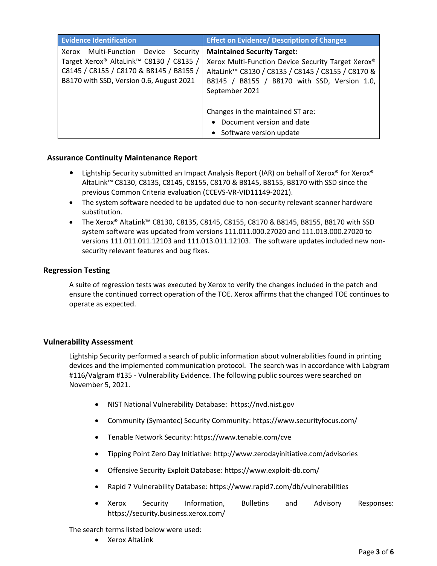| <b>Evidence Identification</b>                                                                                                                                               | <b>Effect on Evidence/ Description of Changes</b>                                                                                                                                                                                                                                                            |
|------------------------------------------------------------------------------------------------------------------------------------------------------------------------------|--------------------------------------------------------------------------------------------------------------------------------------------------------------------------------------------------------------------------------------------------------------------------------------------------------------|
| Multi-Function Device<br>Xerox<br>Security<br>Target Xerox® AltaLink™ C8130 / C8135 /<br>C8145 / C8155 / C8170 & B8145 / B8155 /<br>B8170 with SSD, Version 0.6, August 2021 | <b>Maintained Security Target:</b><br>Xerox Multi-Function Device Security Target Xerox®<br>AltaLink™ C8130 / C8135 / C8145 / C8155 / C8170 &<br>B8145 / B8155 / B8170 with SSD, Version 1.0,<br>September 2021<br>Changes in the maintained ST are:<br>Document version and date<br>Software version update |
|                                                                                                                                                                              |                                                                                                                                                                                                                                                                                                              |

## **Assurance Continuity Maintenance Report**

- **•** Lightship Security submitted an Impact Analysis Report (IAR) on behalf of Xerox® for Xerox® AltaLink™ C8130, C8135, C8145, C8155, C8170 & B8145, B8155, B8170 with SSD since the previous Common Criteria evaluation (CCEVS-VR-VID11149-2021).
- The system software needed to be updated due to non-security relevant scanner hardware substitution.
- The Xerox® AltaLink™ C8130, C8135, C8145, C8155, C8170 & B8145, B8155, B8170 with SSD system software was updated from versions 111.011.000.27020 and 111.013.000.27020 to versions 111.011.011.12103 and 111.013.011.12103. The software updates included new nonsecurity relevant features and bug fixes.

# **Regression Testing**

A suite of regression tests was executed by Xerox to verify the changes included in the patch and ensure the continued correct operation of the TOE. Xerox affirms that the changed TOE continues to operate as expected.

# **Vulnerability Assessment**

Lightship Security performed a search of public information about vulnerabilities found in printing devices and the implemented communication protocol. The search was in accordance with Labgram #116/Valgram #135 - Vulnerability Evidence. The following public sources were searched on November 5, 2021.

- NIST National Vulnerability Database: [https://nvd.nist.gov](https://nvd.nist.gov/)
- Community (Symantec) Security Community:<https://www.securityfocus.com/>
- Tenable Network Security:<https://www.tenable.com/cve>
- Tipping Point Zero Day Initiative:<http://www.zerodayinitiative.com/advisories>
- Offensive Security Exploit Database[: https://www.exploit-db.com/](https://www.exploit-db.com/)
- Rapid 7 Vulnerability Database[: https://www.rapid7.com/db/vulnerabilities](https://www.rapid7.com/db/vulnerabilities)
- Xerox Security Information, Bulletins and Advisory Responses: <https://security.business.xerox.com/>

The search terms listed below were used:

Xerox AltaLink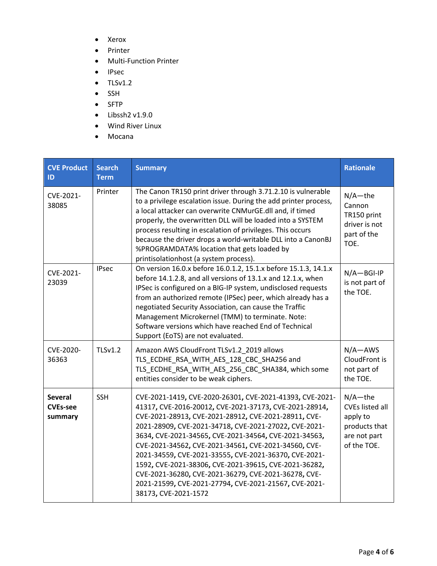- Xerox
- Printer
- Multi-Function Printer
- IPsec
- $\bullet$  TLSv1.2
- SSH
- SFTP
- $\bullet$  Libssh2 v1.9.0
- Wind River Linux
- Mocana

| <b>CVE Product</b><br>ID                     | <b>Search</b><br><b>Term</b> | <b>Summary</b>                                                                                                                                                                                                                                                                                                                                                                                                                                                                                                                                                                                                  | <b>Rationale</b>                                                                                 |
|----------------------------------------------|------------------------------|-----------------------------------------------------------------------------------------------------------------------------------------------------------------------------------------------------------------------------------------------------------------------------------------------------------------------------------------------------------------------------------------------------------------------------------------------------------------------------------------------------------------------------------------------------------------------------------------------------------------|--------------------------------------------------------------------------------------------------|
| CVE-2021-<br>38085                           | Printer                      | The Canon TR150 print driver through 3.71.2.10 is vulnerable<br>to a privilege escalation issue. During the add printer process,<br>a local attacker can overwrite CNMurGE.dll and, if timed<br>properly, the overwritten DLL will be loaded into a SYSTEM<br>process resulting in escalation of privileges. This occurs<br>because the driver drops a world-writable DLL into a CanonBJ<br>%PROGRAMDATA% location that gets loaded by<br>printisolationhost (a system process).                                                                                                                                | $N/A$ -the<br>Cannon<br>TR150 print<br>driver is not<br>part of the<br>TOE.                      |
| CVE-2021-<br>23039                           | <b>IPsec</b>                 | On version 16.0.x before 16.0.1.2, 15.1.x before 15.1.3, 14.1.x<br>before 14.1.2.8, and all versions of 13.1.x and 12.1.x, when<br>IPSec is configured on a BIG-IP system, undisclosed requests<br>from an authorized remote (IPSec) peer, which already has a<br>negotiated Security Association, can cause the Traffic<br>Management Microkernel (TMM) to terminate. Note:<br>Software versions which have reached End of Technical<br>Support (EoTS) are not evaluated.                                                                                                                                      | $N/A - BGI-IP$<br>is not part of<br>the TOE.                                                     |
| CVE-2020-<br>36363                           | <b>TLSv1.2</b>               | Amazon AWS CloudFront TLSv1.2 2019 allows<br>TLS ECDHE RSA WITH AES 128 CBC SHA256 and<br>TLS_ECDHE_RSA_WITH_AES_256_CBC_SHA384, which some<br>entities consider to be weak ciphers.                                                                                                                                                                                                                                                                                                                                                                                                                            | $N/A - AWS$<br>CloudFront is<br>not part of<br>the TOE.                                          |
| <b>Several</b><br><b>CVEs-see</b><br>summary | <b>SSH</b>                   | CVE-2021-1419, CVE-2020-26301, CVE-2021-41393, CVE-2021-<br>41317, CVE-2016-20012, CVE-2021-37173, CVE-2021-28914,<br>CVE-2021-28913, CVE-2021-28912, CVE-2021-28911, CVE-<br>2021-28909, CVE-2021-34718, CVE-2021-27022, CVE-2021-<br>3634, CVE-2021-34565, CVE-2021-34564, CVE-2021-34563,<br>CVE-2021-34562, CVE-2021-34561, CVE-2021-34560, CVE-<br>2021-34559, CVE-2021-33555, CVE-2021-36370, CVE-2021-<br>1592, CVE-2021-38306, CVE-2021-39615, CVE-2021-36282,<br>CVE-2021-36280, CVE-2021-36279, CVE-2021-36278, CVE-<br>2021-21599, CVE-2021-27794, CVE-2021-21567, CVE-2021-<br>38173, CVE-2021-1572 | $N/A$ -the<br><b>CVEs listed all</b><br>apply to<br>products that<br>are not part<br>of the TOE. |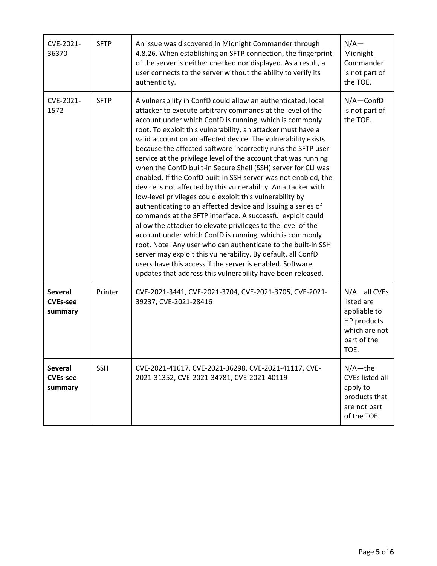| CVE-2021-<br>36370                           | <b>SFTP</b> | An issue was discovered in Midnight Commander through<br>4.8.26. When establishing an SFTP connection, the fingerprint<br>of the server is neither checked nor displayed. As a result, a<br>user connects to the server without the ability to verify its<br>authenticity.                                                                                                                                                                                                                                                                                                                                                                                                                                                                                                                                                                                                                                                                                                                                                                                                                                                                                                                                                                      | $N/A-$<br>Midnight<br>Commander<br>is not part of<br>the TOE.                                     |
|----------------------------------------------|-------------|-------------------------------------------------------------------------------------------------------------------------------------------------------------------------------------------------------------------------------------------------------------------------------------------------------------------------------------------------------------------------------------------------------------------------------------------------------------------------------------------------------------------------------------------------------------------------------------------------------------------------------------------------------------------------------------------------------------------------------------------------------------------------------------------------------------------------------------------------------------------------------------------------------------------------------------------------------------------------------------------------------------------------------------------------------------------------------------------------------------------------------------------------------------------------------------------------------------------------------------------------|---------------------------------------------------------------------------------------------------|
| CVE-2021-<br>1572                            | <b>SFTP</b> | A vulnerability in ConfD could allow an authenticated, local<br>attacker to execute arbitrary commands at the level of the<br>account under which ConfD is running, which is commonly<br>root. To exploit this vulnerability, an attacker must have a<br>valid account on an affected device. The vulnerability exists<br>because the affected software incorrectly runs the SFTP user<br>service at the privilege level of the account that was running<br>when the ConfD built-in Secure Shell (SSH) server for CLI was<br>enabled. If the ConfD built-in SSH server was not enabled, the<br>device is not affected by this vulnerability. An attacker with<br>low-level privileges could exploit this vulnerability by<br>authenticating to an affected device and issuing a series of<br>commands at the SFTP interface. A successful exploit could<br>allow the attacker to elevate privileges to the level of the<br>account under which ConfD is running, which is commonly<br>root. Note: Any user who can authenticate to the built-in SSH<br>server may exploit this vulnerability. By default, all ConfD<br>users have this access if the server is enabled. Software<br>updates that address this vulnerability have been released. | $N/A$ -ConfD<br>is not part of<br>the TOE.                                                        |
| <b>Several</b><br><b>CVEs-see</b><br>summary | Printer     | CVE-2021-3441, CVE-2021-3704, CVE-2021-3705, CVE-2021-<br>39237, CVE-2021-28416                                                                                                                                                                                                                                                                                                                                                                                                                                                                                                                                                                                                                                                                                                                                                                                                                                                                                                                                                                                                                                                                                                                                                                 | N/A-all CVEs<br>listed are<br>appliable to<br>HP products<br>which are not<br>part of the<br>TOE. |
| <b>Several</b><br><b>CVEs-see</b><br>summary | <b>SSH</b>  | CVE-2021-41617, CVE-2021-36298, CVE-2021-41117, CVE-<br>2021-31352, CVE-2021-34781, CVE-2021-40119                                                                                                                                                                                                                                                                                                                                                                                                                                                                                                                                                                                                                                                                                                                                                                                                                                                                                                                                                                                                                                                                                                                                              | $N/A$ -the<br><b>CVEs listed all</b><br>apply to<br>products that<br>are not part<br>of the TOE.  |